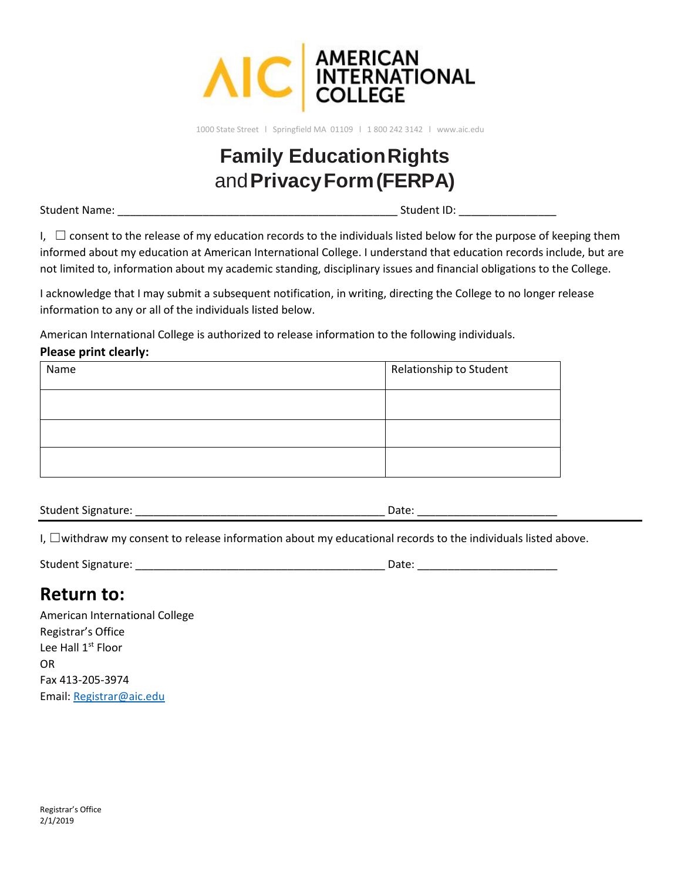

1000 State Street l Springfield MA 01109 l 1 800 242 3142 l www.aic.edu

# **Family Education Rights** and**Privacy Form (FERPA)**

Student Name: \_\_\_\_\_\_\_\_\_\_\_\_\_\_\_\_\_\_\_\_\_\_\_\_\_\_\_\_\_\_\_\_\_\_\_\_\_\_\_\_\_\_\_\_\_\_ Student ID: \_\_\_\_\_\_\_\_\_\_\_\_\_\_\_\_

I,  $\Box$  consent to the release of my education records to the individuals listed below for the purpose of keeping them informed about my education at American International College. I understand that education records include, but are not limited to, information about my academic standing, disciplinary issues and financial obligations to the College.

I acknowledge that I may submit a subsequent notification, in writing, directing the College to no longer release information to any or all of the individuals listed below.

American International College is authorized to release information to the following individuals.

### **Please print clearly:**

| Name | Relationship to Student |
|------|-------------------------|
|      |                         |
|      |                         |
|      |                         |

Student Signature: \_\_\_\_\_\_\_\_\_\_\_\_\_\_\_\_\_\_\_\_\_\_\_\_\_\_\_\_\_\_\_\_\_\_\_\_\_\_\_\_\_ Date: \_\_\_\_\_\_\_\_\_\_\_\_\_\_\_\_\_\_\_\_\_\_\_

I, □withdraw my consent to release information about my educational records to the individuals listed above.

| Student Signature<br>____ |  |  |
|---------------------------|--|--|
|---------------------------|--|--|

## **Return to:**

American International College Registrar's Office Lee Hall 1<sup>st</sup> Floor OR Fax 413-205-3974 Email: [Registrar@aic.edu](mailto:Registrar@aic.edu)